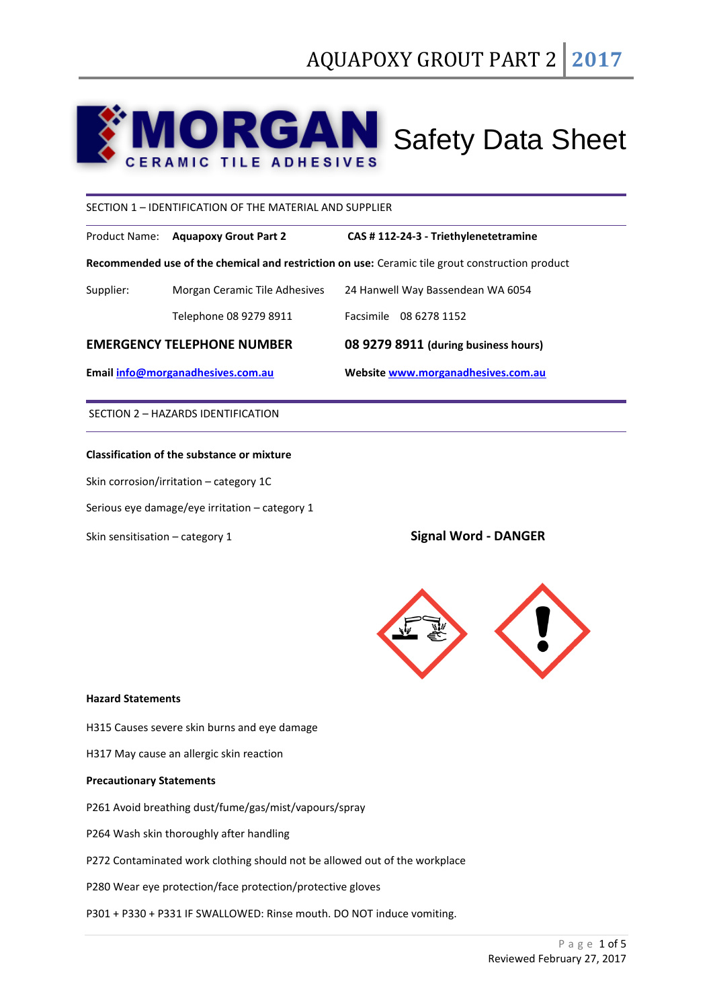# **AN** Safety Data Sheet G **ERAMIC TILE ADHESIVES**

SECTION 1 – IDENTIFICATION OF THE MATERIAL AND SUPPLIER

Product Name: **Aquapoxy Grout Part 2 CAS # 112-24-3 - Triethylenetetramine**

**Recommended use of the chemical and restriction on use:** Ceramic tile grout construction product

| <b>EMERGENCY TELEPHONE NUMBER</b> |                               | 08 9279 8911 (during business hours) |
|-----------------------------------|-------------------------------|--------------------------------------|
|                                   | Telephone 08 9279 8911        | Facsimile 08 6278 1152               |
| Supplier:                         | Morgan Ceramic Tile Adhesives | 24 Hanwell Way Bassendean WA 6054    |

**Email [info@morganadhesives.com.au](mailto:info@morganadhesives.com.au) Websit[e www.morganadhesives.com.au](http://www.morganadhesives.com.au/)**

SECTION 2 – HAZARDS IDENTIFICATION

# **Classification of the substance or mixture**

Skin corrosion/irritation – category 1C

Serious eye damage/eye irritation – category 1

Skin sensitisation – category 1 Signal Word - DANGER



## **Hazard Statements**

H315 Causes severe skin burns and eye damage

H317 May cause an allergic skin reaction

# **Precautionary Statements**

P261 Avoid breathing dust/fume/gas/mist/vapours/spray

P264 Wash skin thoroughly after handling

P272 Contaminated work clothing should not be allowed out of the workplace

P280 Wear eye protection/face protection/protective gloves

P301 + P330 + P331 IF SWALLOWED: Rinse mouth. DO NOT induce vomiting.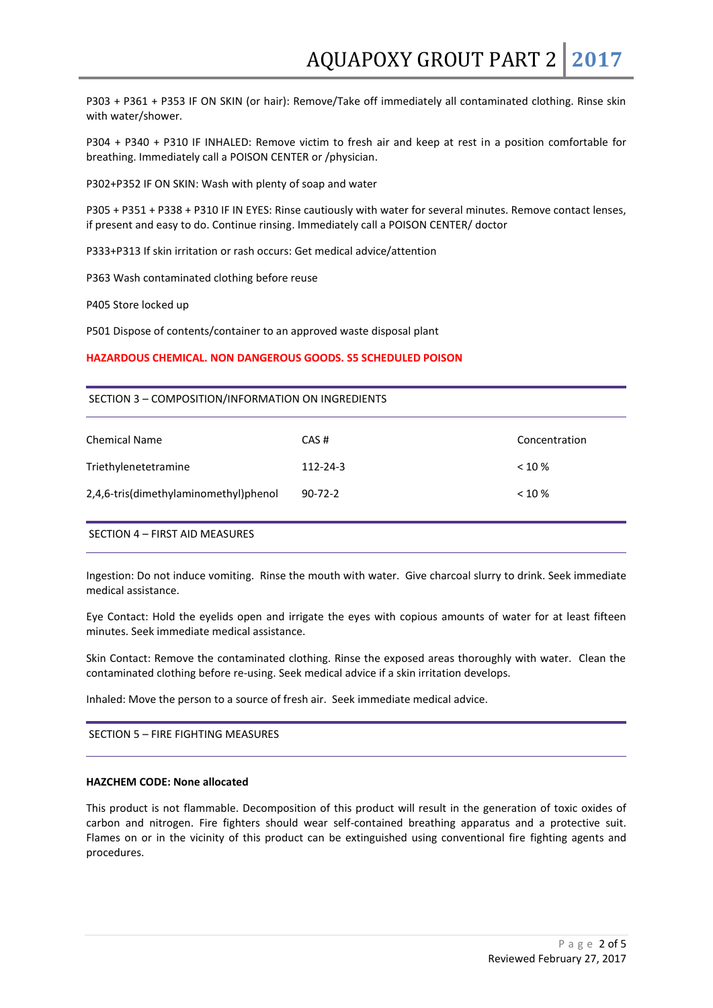P303 + P361 + P353 IF ON SKIN (or hair): Remove/Take off immediately all contaminated clothing. Rinse skin with water/shower.

P304 + P340 + P310 IF INHALED: Remove victim to fresh air and keep at rest in a position comfortable for breathing. Immediately call a POISON CENTER or /physician.

P302+P352 IF ON SKIN: Wash with plenty of soap and water

P305 + P351 + P338 + P310 IF IN EYES: Rinse cautiously with water for several minutes. Remove contact lenses, if present and easy to do. Continue rinsing. Immediately call a POISON CENTER/ doctor

P333+P313 If skin irritation or rash occurs: Get medical advice/attention

P363 Wash contaminated clothing before reuse

P405 Store locked up

P501 Dispose of contents/container to an approved waste disposal plant

#### **HAZARDOUS CHEMICAL. NON DANGEROUS GOODS. S5 SCHEDULED POISON**

#### SECTION 3 – COMPOSITION/INFORMATION ON INGREDIENTS

| <b>Chemical Name</b>                  | CAS#          | Concentration |
|---------------------------------------|---------------|---------------|
| Triethylenetetramine                  | 112-24-3      | $< 10 \%$     |
| 2,4,6-tris(dimethylaminomethyl)phenol | $90 - 72 - 2$ | $< 10 \%$     |

# SECTION 4 – FIRST AID MEASURES

Ingestion: Do not induce vomiting. Rinse the mouth with water. Give charcoal slurry to drink. Seek immediate medical assistance.

Eye Contact: Hold the eyelids open and irrigate the eyes with copious amounts of water for at least fifteen minutes. Seek immediate medical assistance.

Skin Contact: Remove the contaminated clothing. Rinse the exposed areas thoroughly with water. Clean the contaminated clothing before re-using. Seek medical advice if a skin irritation develops.

Inhaled: Move the person to a source of fresh air. Seek immediate medical advice.

SECTION 5 – FIRE FIGHTING MEASURES

## **HAZCHEM CODE: None allocated**

This product is not flammable. Decomposition of this product will result in the generation of toxic oxides of carbon and nitrogen. Fire fighters should wear self-contained breathing apparatus and a protective suit. Flames on or in the vicinity of this product can be extinguished using conventional fire fighting agents and procedures.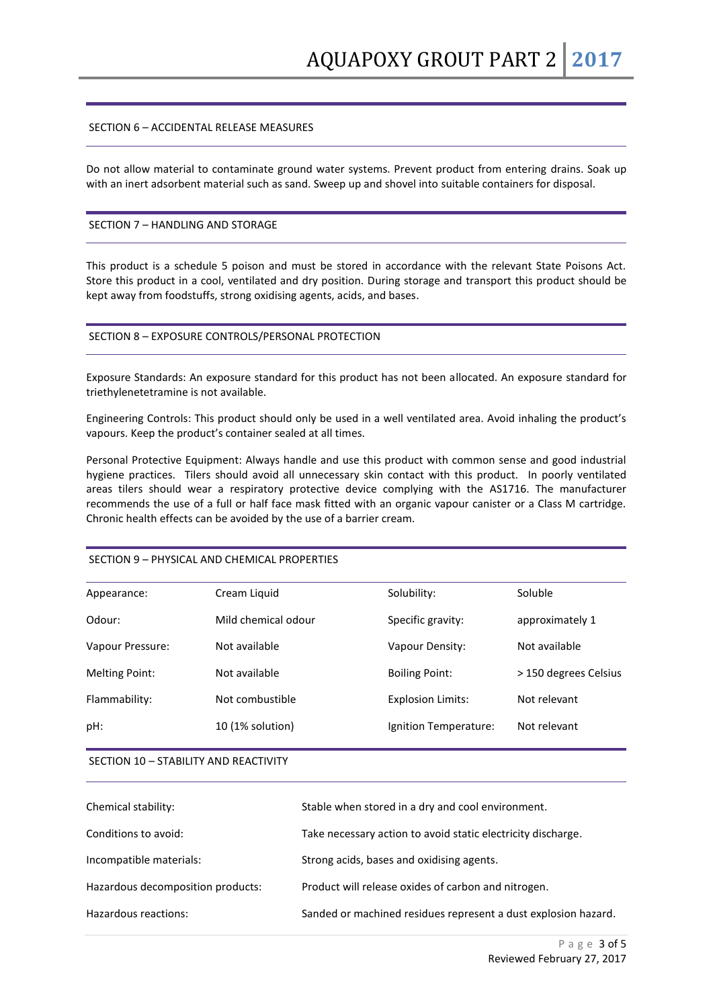# SECTION 6 – ACCIDENTAL RELEASE MEASURES

Do not allow material to contaminate ground water systems. Prevent product from entering drains. Soak up with an inert adsorbent material such as sand. Sweep up and shovel into suitable containers for disposal.

## SECTION 7 – HANDLING AND STORAGE

This product is a schedule 5 poison and must be stored in accordance with the relevant State Poisons Act. Store this product in a cool, ventilated and dry position. During storage and transport this product should be kept away from foodstuffs, strong oxidising agents, acids, and bases.

## SECTION 8 – EXPOSURE CONTROLS/PERSONAL PROTECTION

Exposure Standards: An exposure standard for this product has not been allocated. An exposure standard for triethylenetetramine is not available.

Engineering Controls: This product should only be used in a well ventilated area. Avoid inhaling the product's vapours. Keep the product's container sealed at all times.

Personal Protective Equipment: Always handle and use this product with common sense and good industrial hygiene practices. Tilers should avoid all unnecessary skin contact with this product. In poorly ventilated areas tilers should wear a respiratory protective device complying with the AS1716. The manufacturer recommends the use of a full or half face mask fitted with an organic vapour canister or a Class M cartridge. Chronic health effects can be avoided by the use of a barrier cream.

| Appearance:      | Cream Liquid        | Solubility:              | Soluble               |
|------------------|---------------------|--------------------------|-----------------------|
| Odour:           | Mild chemical odour | Specific gravity:        | approximately 1       |
| Vapour Pressure: | Not available       | Vapour Density:          | Not available         |
| Melting Point:   | Not available       | <b>Boiling Point:</b>    | > 150 degrees Celsius |
| Flammability:    | Not combustible     | <b>Explosion Limits:</b> | Not relevant          |
| pH:              | 10 (1% solution)    | Ignition Temperature:    | Not relevant          |
|                  |                     |                          |                       |

# SECTION 9 – PHYSICAL AND CHEMICAL PROPERTIES

SECTION 10 – STABILITY AND REACTIVITY

| Chemical stability:               | Stable when stored in a dry and cool environment.              |
|-----------------------------------|----------------------------------------------------------------|
| Conditions to avoid:              | Take necessary action to avoid static electricity discharge.   |
| Incompatible materials:           | Strong acids, bases and oxidising agents.                      |
| Hazardous decomposition products: | Product will release oxides of carbon and nitrogen.            |
| Hazardous reactions:              | Sanded or machined residues represent a dust explosion hazard. |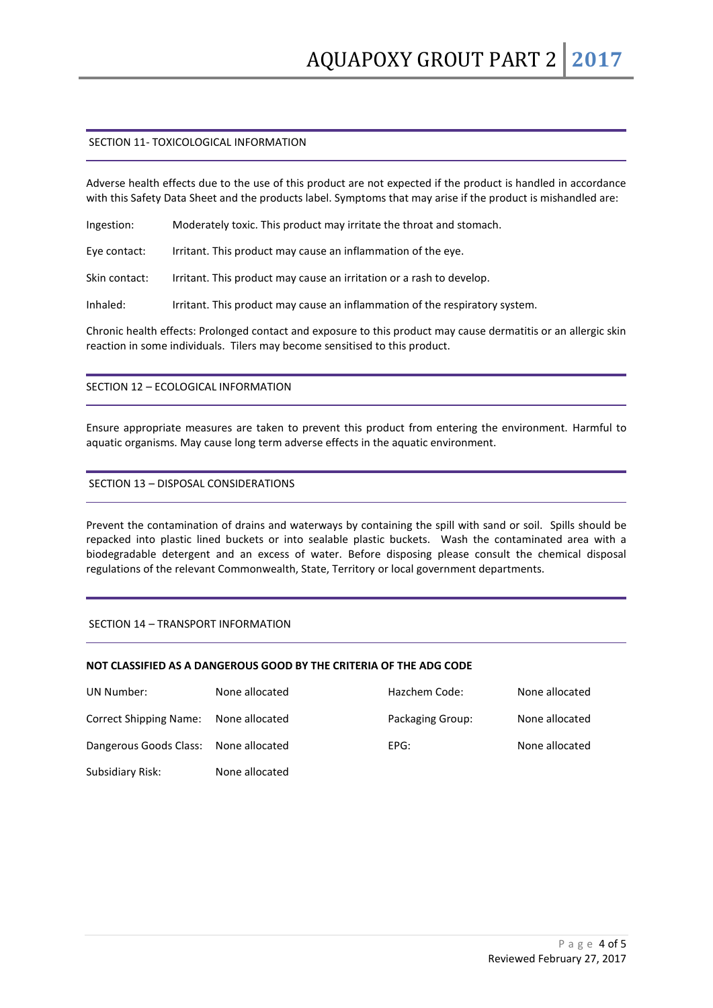# SECTION 11- TOXICOLOGICAL INFORMATION

Adverse health effects due to the use of this product are not expected if the product is handled in accordance with this Safety Data Sheet and the products label. Symptoms that may arise if the product is mishandled are:

Ingestion: Moderately toxic. This product may irritate the throat and stomach.

Eye contact: Irritant. This product may cause an inflammation of the eye.

Skin contact: Irritant. This product may cause an irritation or a rash to develop.

Inhaled: Irritant. This product may cause an inflammation of the respiratory system.

Chronic health effects: Prolonged contact and exposure to this product may cause dermatitis or an allergic skin reaction in some individuals. Tilers may become sensitised to this product.

# SECTION 12 – ECOLOGICAL INFORMATION

Ensure appropriate measures are taken to prevent this product from entering the environment. Harmful to aquatic organisms. May cause long term adverse effects in the aquatic environment.

# SECTION 13 – DISPOSAL CONSIDERATIONS

Prevent the contamination of drains and waterways by containing the spill with sand or soil. Spills should be repacked into plastic lined buckets or into sealable plastic buckets. Wash the contaminated area with a biodegradable detergent and an excess of water. Before disposing please consult the chemical disposal regulations of the relevant Commonwealth, State, Territory or local government departments.

# SECTION 14 – TRANSPORT INFORMATION

# **NOT CLASSIFIED AS A DANGEROUS GOOD BY THE CRITERIA OF THE ADG CODE**

| UN Number:                            | None allocated | Hazchem Code:    | None allocated |
|---------------------------------------|----------------|------------------|----------------|
| <b>Correct Shipping Name:</b>         | None allocated | Packaging Group: | None allocated |
| Dangerous Goods Class: None allocated |                | EPG:             | None allocated |
| Subsidiary Risk:                      | None allocated |                  |                |